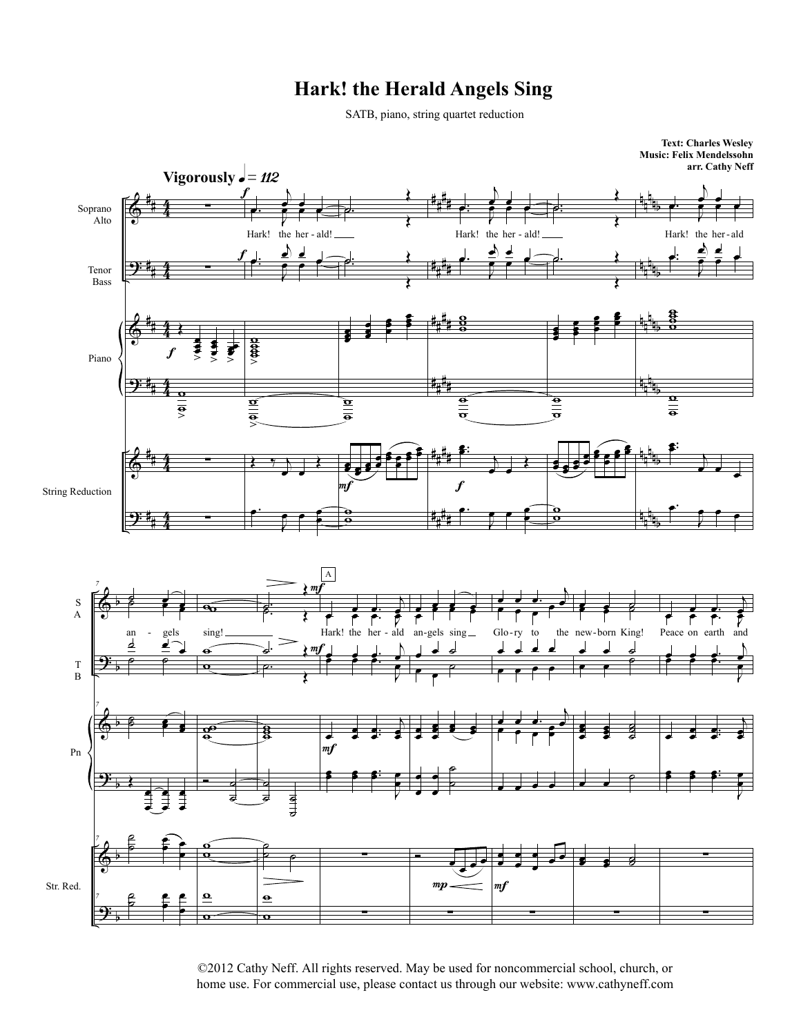## **Hark! the Herald Angels Sing**

SATB, piano, string quartet reduction



©2012 Cathy Neff. All rights reserved. May be used for noncommercial school, church, or home use. For commercial use, please contact us through our website: www.cathyneff.com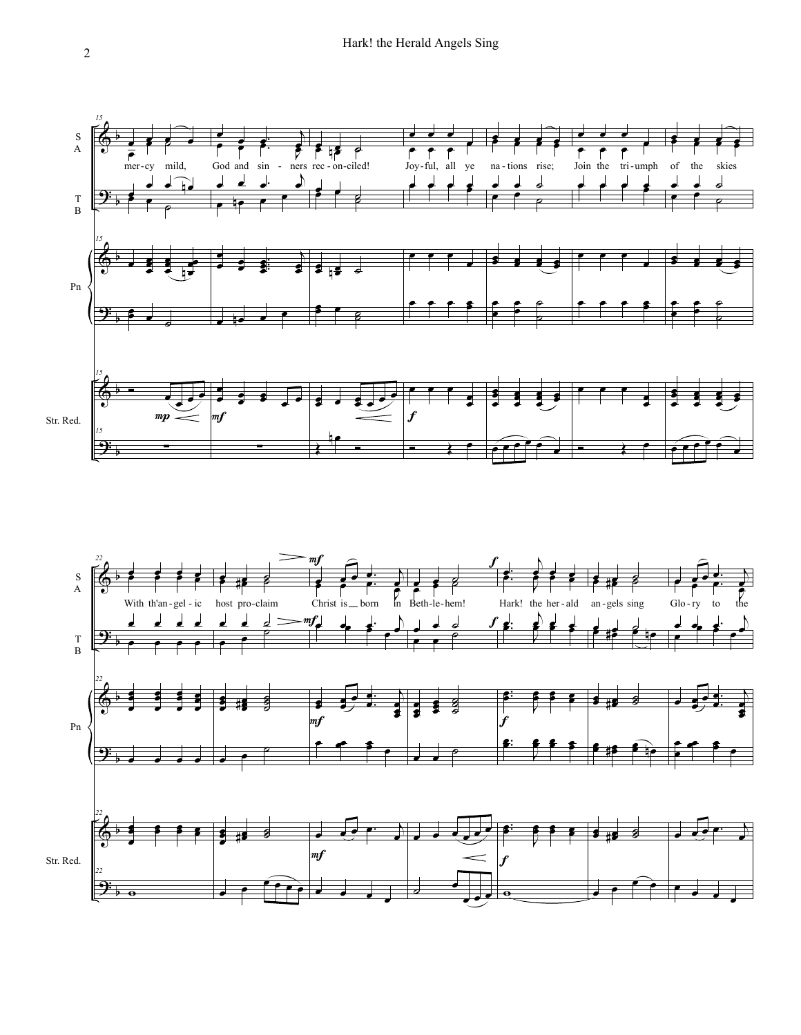

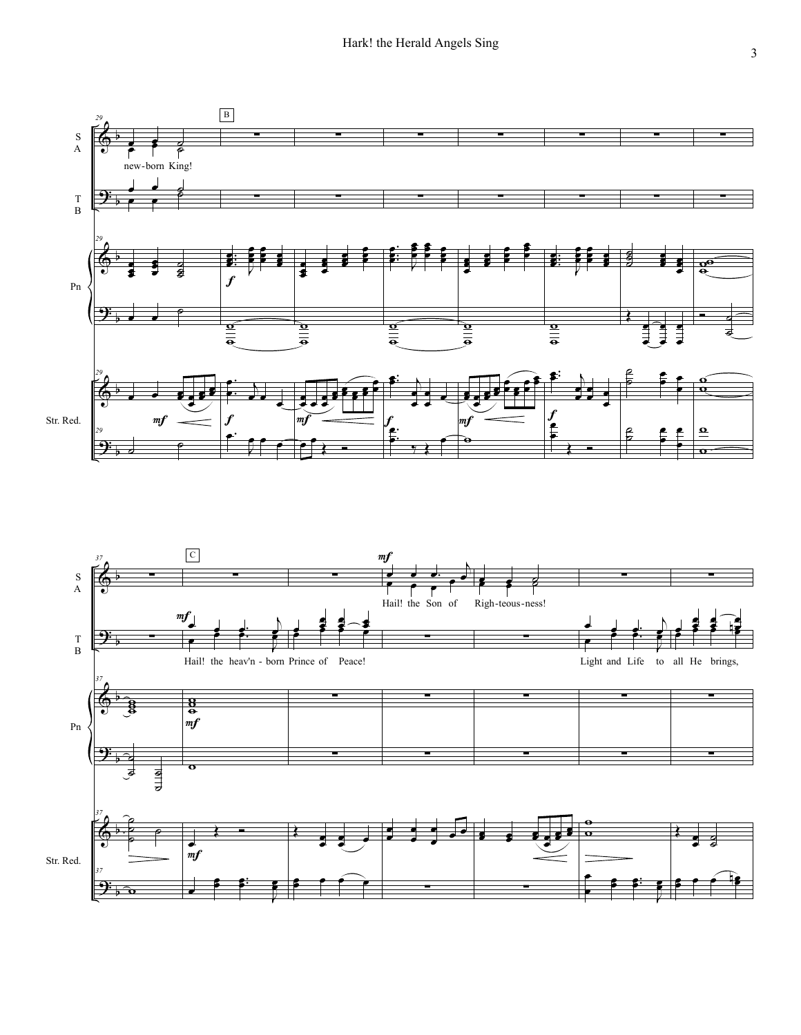

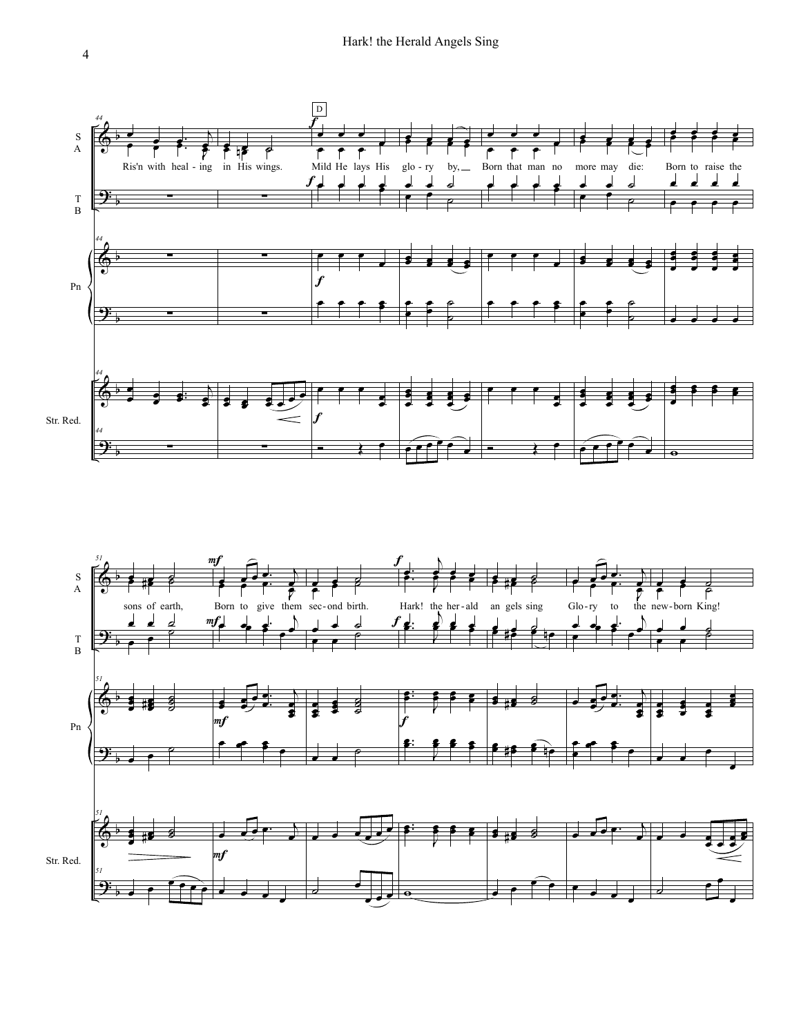



4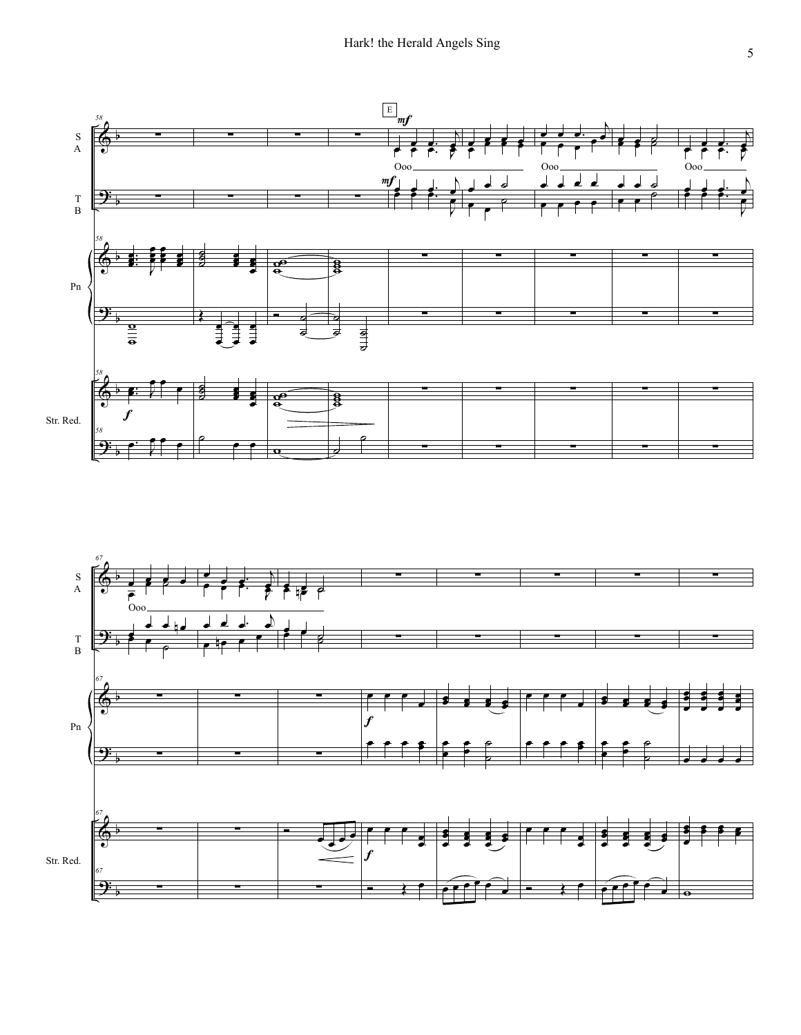